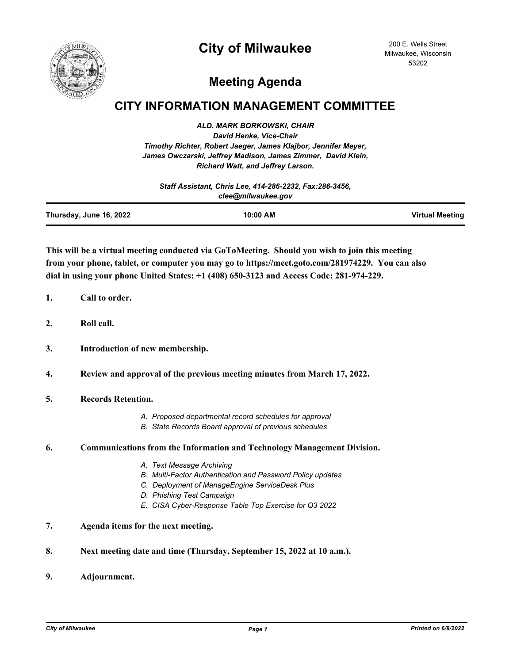## **City of Milwaukee**



200 E. Wells Street Milwaukee, Wisconsin 53202

# **Meeting Agenda**

### **CITY INFORMATION MANAGEMENT COMMITTEE**

*ALD. MARK BORKOWSKI, CHAIR David Henke, Vice-Chair Timothy Richter, Robert Jaeger, James Klajbor, Jennifer Meyer, James Owczarski, Jeffrey Madison, James Zimmer, David Klein, Richard Watt, and Jeffrey Larson.*

| Staff Assistant, Chris Lee, 414-286-2232, Fax:286-3456,<br>clee@milwaukee.gov |  |  |
|-------------------------------------------------------------------------------|--|--|
|                                                                               |  |  |

**This will be a virtual meeting conducted via GoToMeeting. Should you wish to join this meeting from your phone, tablet, or computer you may go to https://meet.goto.com/281974229. You can also dial in using your phone United States: +1 (408) 650-3123 and Access Code: 281-974-229.**

- **1. Call to order.**
- **2. Roll call.**
- **3. Introduction of new membership.**

**4. Review and approval of the previous meeting minutes from March 17, 2022.**

- **5. Records Retention.**
	- *A. Proposed departmental record schedules for approval*
	- *B. State Records Board approval of previous schedules*

#### **6. Communications from the Information and Technology Management Division.**

- *A. Text Message Archiving*
- *B. Multi-Factor Authentication and Password Policy updates*
- *C. Deployment of ManageEngine ServiceDesk Plus*
- *D. Phishing Test Campaign*
- *E. CISA Cyber-Response Table Top Exercise for Q3 2022*
- **7. Agenda items for the next meeting.**
- **8. Next meeting date and time (Thursday, September 15, 2022 at 10 a.m.).**
- **9. Adjournment.**